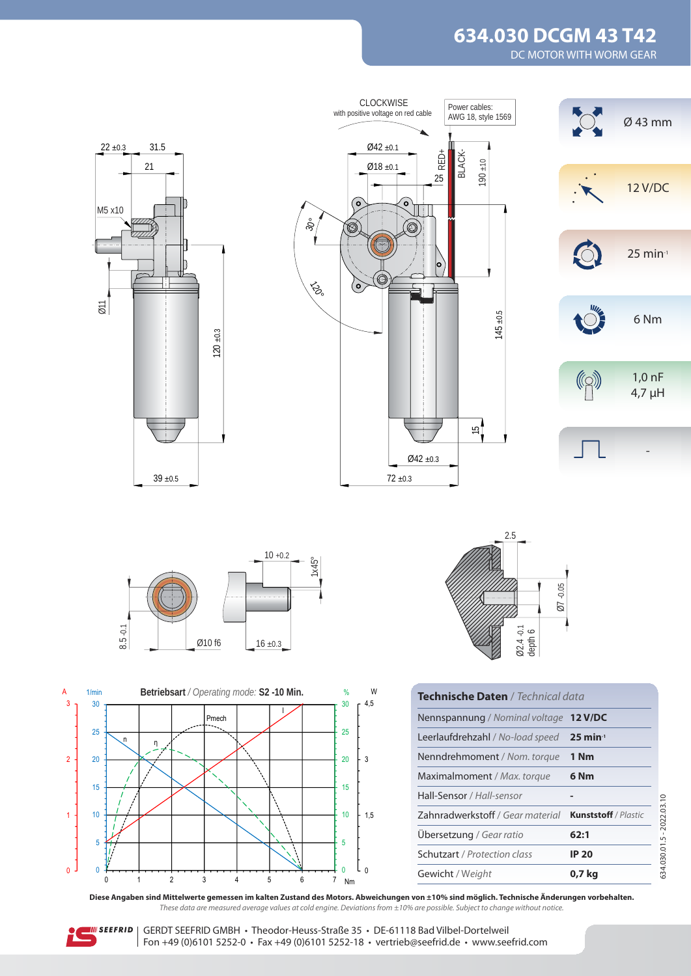# **634.030 DCGM 43 T42**

DC MOTOR WITH WORM GEAR



**Diese Angaben sind Mittelwerte gemessen im kalten Zustand des Motors. Abweichungen von ±10% sind möglich. Technische Änderungen vorbehalten.** These data are measured average values at cold engine. Deviations from ±10% are possible. Subject to change without notice.



 $\overline{0}$ 

1

 $\overline{2}$ 

3 A

> IIII SEEFRID | GERDT SEEFRID GMBH • Theodor-Heuss-Straße 35 • DE-61118 Bad Vilbel-Dortelweil Fon +49 (0)6101 5252-0 • Fax +49 (0)6101 5252-18 • vertrieb@seefrid.de • www.seefrid.com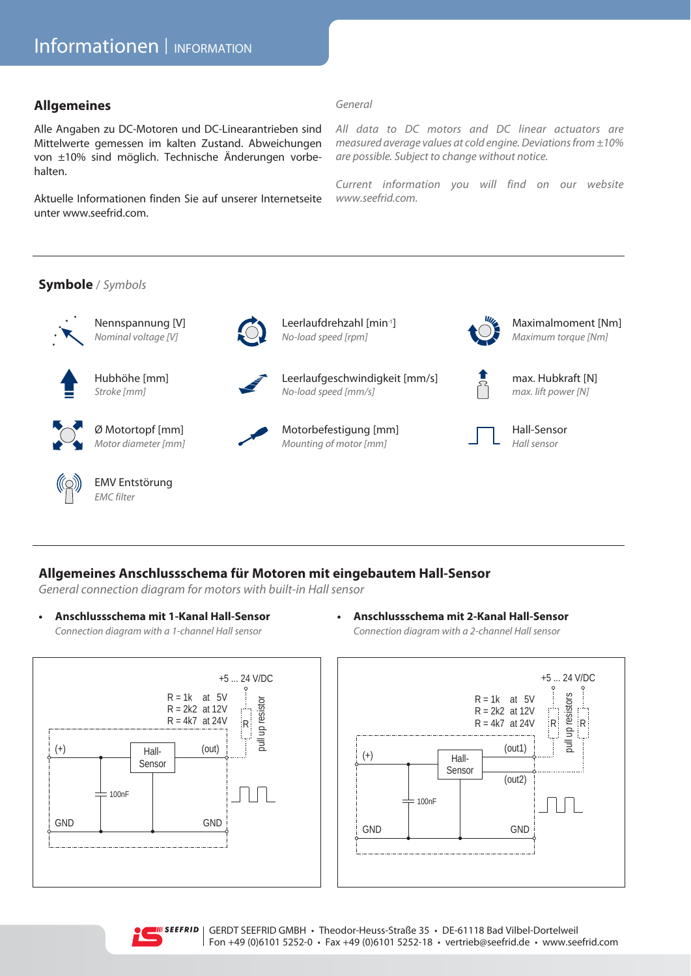#### **Allgemeines**

Alle Angaben zu DC-Motoren und DC-Linearantrieben sind Mittelwerte gemessen im kalten Zustand. Abweichungen von ±10% sind möglich. Technische Änderungen vorbehalten.

Aktuelle Informationen finden Sie auf unserer Internetseite unter www.seefrid.com.

#### *General*

*All data to DC motors and DC linear actuators are measured average values at cold engine. Deviations from ±10% are possible. Subject to change without notice.* 

*Current information you will find on our website www.seefrid.com.*

#### **Symbole** / *Symbols*









**EMV Entstörung** *EMC filter*



Nennspannung [V] Leerlaufdrehzahl [min-1] Maximalmoment [Nm] *Nominal voltage [V] No-load speed [rpm] Maximum torque [Nm]*



Ø Motortopf [mm]Motorbefestigung [mm] Hall-Sensor Motor diameter [mm] Mounting of motor [mm] Hall sensor







### **Allgemeines Anschlussschema für Motoren mit eingebautem Hall-Sensor**

*General connection diagram for motors with built-in Hall sensor*

**• Anschlussschema mit 1-Kanal Hall-Sensor**  *Connection diagram with a 1-channel Hall sensor*



**• Anschlussschema mit 2-Kanal Hall-Sensor**

*Connection diagram with a 2-channel Hall sensor*